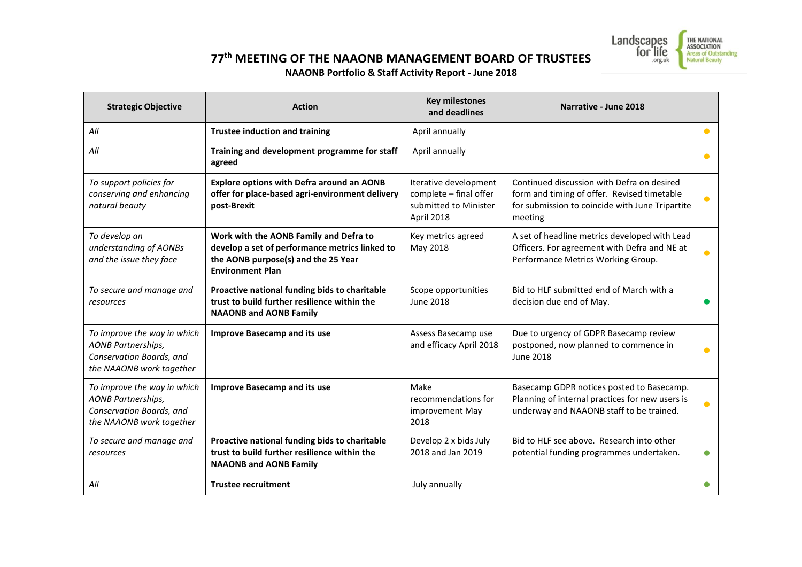

**77th MEETING OF THE NAAONB MANAGEMENT BOARD OF TRUSTEES**

## **NAAONB Portfolio & Staff Activity Report - June 2018**

| <b>Strategic Objective</b>                                                                                       | <b>Action</b>                                                                                                                                              | <b>Key milestones</b><br>and deadlines                                                 | Narrative - June 2018                                                                                                                                   |           |
|------------------------------------------------------------------------------------------------------------------|------------------------------------------------------------------------------------------------------------------------------------------------------------|----------------------------------------------------------------------------------------|---------------------------------------------------------------------------------------------------------------------------------------------------------|-----------|
| All                                                                                                              | <b>Trustee induction and training</b>                                                                                                                      | April annually                                                                         |                                                                                                                                                         | $\bullet$ |
| All                                                                                                              | Training and development programme for staff<br>agreed                                                                                                     | April annually                                                                         |                                                                                                                                                         | $\bullet$ |
| To support policies for<br>conserving and enhancing<br>natural beauty                                            | Explore options with Defra around an AONB<br>offer for place-based agri-environment delivery<br>post-Brexit                                                | Iterative development<br>complete - final offer<br>submitted to Minister<br>April 2018 | Continued discussion with Defra on desired<br>form and timing of offer. Revised timetable<br>for submission to coincide with June Tripartite<br>meeting | $\bullet$ |
| To develop an<br>understanding of AONBs<br>and the issue they face                                               | Work with the AONB Family and Defra to<br>develop a set of performance metrics linked to<br>the AONB purpose(s) and the 25 Year<br><b>Environment Plan</b> | Key metrics agreed<br>May 2018                                                         | A set of headline metrics developed with Lead<br>Officers. For agreement with Defra and NE at<br>Performance Metrics Working Group.                     | $\bullet$ |
| To secure and manage and<br>resources                                                                            | Proactive national funding bids to charitable<br>trust to build further resilience within the<br><b>NAAONB and AONB Family</b>                             | Scope opportunities<br><b>June 2018</b>                                                | Bid to HLF submitted end of March with a<br>decision due end of May.                                                                                    |           |
| To improve the way in which<br><b>AONB Partnerships,</b><br>Conservation Boards, and<br>the NAAONB work together | <b>Improve Basecamp and its use</b>                                                                                                                        | Assess Basecamp use<br>and efficacy April 2018                                         | Due to urgency of GDPR Basecamp review<br>postponed, now planned to commence in<br>June 2018                                                            |           |
| To improve the way in which<br><b>AONB Partnerships,</b><br>Conservation Boards, and<br>the NAAONB work together | <b>Improve Basecamp and its use</b>                                                                                                                        | Make<br>recommendations for<br>improvement May<br>2018                                 | Basecamp GDPR notices posted to Basecamp.<br>Planning of internal practices for new users is<br>underway and NAAONB staff to be trained.                | $\bullet$ |
| To secure and manage and<br>resources                                                                            | Proactive national funding bids to charitable<br>trust to build further resilience within the<br><b>NAAONB and AONB Family</b>                             | Develop 2 x bids July<br>2018 and Jan 2019                                             | Bid to HLF see above. Research into other<br>potential funding programmes undertaken.                                                                   | $\bullet$ |
| All                                                                                                              | <b>Trustee recruitment</b>                                                                                                                                 | July annually                                                                          |                                                                                                                                                         |           |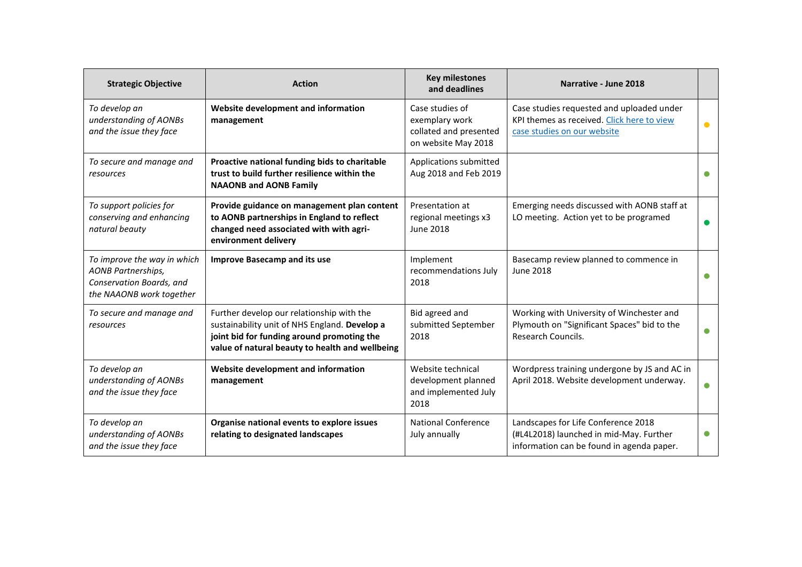| <b>Strategic Objective</b>                                                                                       | <b>Action</b>                                                                                                                                                                               | <b>Key milestones</b><br>and deadlines                                             | Narrative - June 2018                                                                                                       |           |
|------------------------------------------------------------------------------------------------------------------|---------------------------------------------------------------------------------------------------------------------------------------------------------------------------------------------|------------------------------------------------------------------------------------|-----------------------------------------------------------------------------------------------------------------------------|-----------|
| To develop an<br>understanding of AONBs<br>and the issue they face                                               | Website development and information<br>management                                                                                                                                           | Case studies of<br>exemplary work<br>collated and presented<br>on website May 2018 | Case studies requested and uploaded under<br>KPI themes as received. Click here to view<br>case studies on our website      | $\bullet$ |
| To secure and manage and<br>resources                                                                            | Proactive national funding bids to charitable<br>trust to build further resilience within the<br><b>NAAONB and AONB Family</b>                                                              | Applications submitted<br>Aug 2018 and Feb 2019                                    |                                                                                                                             | ●         |
| To support policies for<br>conserving and enhancing<br>natural beauty                                            | Provide guidance on management plan content<br>to AONB partnerships in England to reflect<br>changed need associated with with agri-<br>environment delivery                                | Presentation at<br>regional meetings x3<br><b>June 2018</b>                        | Emerging needs discussed with AONB staff at<br>LO meeting. Action yet to be programed                                       | ●         |
| To improve the way in which<br><b>AONB Partnerships,</b><br>Conservation Boards, and<br>the NAAONB work together | <b>Improve Basecamp and its use</b>                                                                                                                                                         | Implement<br>recommendations July<br>2018                                          | Basecamp review planned to commence in<br><b>June 2018</b>                                                                  | ●         |
| To secure and manage and<br>resources                                                                            | Further develop our relationship with the<br>sustainability unit of NHS England. Develop a<br>joint bid for funding around promoting the<br>value of natural beauty to health and wellbeing | Bid agreed and<br>submitted September<br>2018                                      | Working with University of Winchester and<br>Plymouth on "Significant Spaces" bid to the<br>Research Councils.              | $\bullet$ |
| To develop an<br>understanding of AONBs<br>and the issue they face                                               | Website development and information<br>management                                                                                                                                           | Website technical<br>development planned<br>and implemented July<br>2018           | Wordpress training undergone by JS and AC in<br>April 2018. Website development underway.                                   | $\bullet$ |
| To develop an<br>understanding of AONBs<br>and the issue they face                                               | Organise national events to explore issues<br>relating to designated landscapes                                                                                                             | <b>National Conference</b><br>July annually                                        | Landscapes for Life Conference 2018<br>(#L4L2018) launched in mid-May. Further<br>information can be found in agenda paper. | $\bullet$ |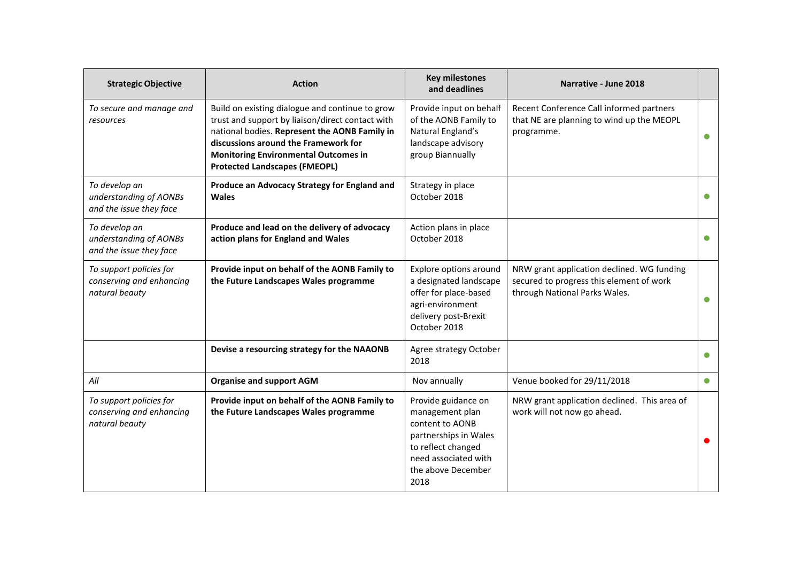| <b>Strategic Objective</b>                                            | <b>Action</b>                                                                                                                                                                                                                                                                       | <b>Key milestones</b><br>and deadlines                                                                                                                         | Narrative - June 2018                                                                                                   |           |
|-----------------------------------------------------------------------|-------------------------------------------------------------------------------------------------------------------------------------------------------------------------------------------------------------------------------------------------------------------------------------|----------------------------------------------------------------------------------------------------------------------------------------------------------------|-------------------------------------------------------------------------------------------------------------------------|-----------|
| To secure and manage and<br>resources                                 | Build on existing dialogue and continue to grow<br>trust and support by liaison/direct contact with<br>national bodies. Represent the AONB Family in<br>discussions around the Framework for<br><b>Monitoring Environmental Outcomes in</b><br><b>Protected Landscapes (FMEOPL)</b> | Provide input on behalf<br>of the AONB Family to<br>Natural England's<br>landscape advisory<br>group Biannually                                                | Recent Conference Call informed partners<br>that NE are planning to wind up the MEOPL<br>programme.                     | $\bullet$ |
| To develop an<br>understanding of AONBs<br>and the issue they face    | Produce an Advocacy Strategy for England and<br><b>Wales</b>                                                                                                                                                                                                                        | Strategy in place<br>October 2018                                                                                                                              |                                                                                                                         |           |
| To develop an<br>understanding of AONBs<br>and the issue they face    | Produce and lead on the delivery of advocacy<br>action plans for England and Wales                                                                                                                                                                                                  | Action plans in place<br>October 2018                                                                                                                          |                                                                                                                         |           |
| To support policies for<br>conserving and enhancing<br>natural beauty | Provide input on behalf of the AONB Family to<br>the Future Landscapes Wales programme                                                                                                                                                                                              | Explore options around<br>a designated landscape<br>offer for place-based<br>agri-environment<br>delivery post-Brexit<br>October 2018                          | NRW grant application declined. WG funding<br>secured to progress this element of work<br>through National Parks Wales. | $\bullet$ |
|                                                                       | Devise a resourcing strategy for the NAAONB                                                                                                                                                                                                                                         | Agree strategy October<br>2018                                                                                                                                 |                                                                                                                         |           |
| All                                                                   | <b>Organise and support AGM</b>                                                                                                                                                                                                                                                     | Nov annually                                                                                                                                                   | Venue booked for 29/11/2018                                                                                             |           |
| To support policies for<br>conserving and enhancing<br>natural beauty | Provide input on behalf of the AONB Family to<br>the Future Landscapes Wales programme                                                                                                                                                                                              | Provide guidance on<br>management plan<br>content to AONB<br>partnerships in Wales<br>to reflect changed<br>need associated with<br>the above December<br>2018 | NRW grant application declined. This area of<br>work will not now go ahead.                                             |           |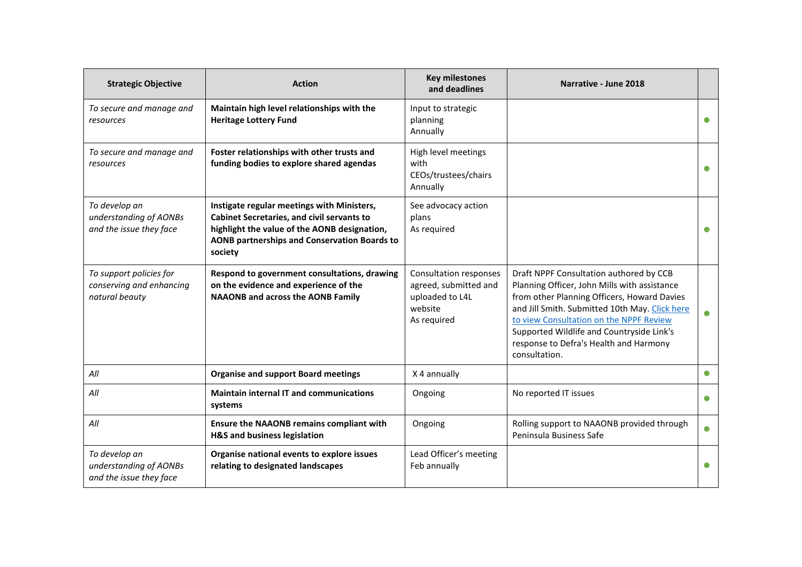| <b>Strategic Objective</b>                                            | <b>Action</b>                                                                                                                                                                                              | <b>Key milestones</b><br>and deadlines                                                              | Narrative - June 2018                                                                                                                                                                                                                                                                                                                       |           |
|-----------------------------------------------------------------------|------------------------------------------------------------------------------------------------------------------------------------------------------------------------------------------------------------|-----------------------------------------------------------------------------------------------------|---------------------------------------------------------------------------------------------------------------------------------------------------------------------------------------------------------------------------------------------------------------------------------------------------------------------------------------------|-----------|
| To secure and manage and<br>resources                                 | Maintain high level relationships with the<br><b>Heritage Lottery Fund</b>                                                                                                                                 | Input to strategic<br>planning<br>Annually                                                          |                                                                                                                                                                                                                                                                                                                                             |           |
| To secure and manage and<br>resources                                 | Foster relationships with other trusts and<br>funding bodies to explore shared agendas                                                                                                                     | High level meetings<br>with<br>CEOs/trustees/chairs<br>Annually                                     |                                                                                                                                                                                                                                                                                                                                             |           |
| To develop an<br>understanding of AONBs<br>and the issue they face    | Instigate regular meetings with Ministers,<br><b>Cabinet Secretaries, and civil servants to</b><br>highlight the value of the AONB designation,<br>AONB partnerships and Conservation Boards to<br>society | See advocacy action<br>plans<br>As required                                                         |                                                                                                                                                                                                                                                                                                                                             |           |
| To support policies for<br>conserving and enhancing<br>natural beauty | Respond to government consultations, drawing<br>on the evidence and experience of the<br><b>NAAONB and across the AONB Family</b>                                                                          | <b>Consultation responses</b><br>agreed, submitted and<br>uploaded to L4L<br>website<br>As required | Draft NPPF Consultation authored by CCB<br>Planning Officer, John Mills with assistance<br>from other Planning Officers, Howard Davies<br>and Jill Smith. Submitted 10th May. Click here<br>to view Consultation on the NPPF Review<br>Supported Wildlife and Countryside Link's<br>response to Defra's Health and Harmony<br>consultation. | $\bullet$ |
| All                                                                   | <b>Organise and support Board meetings</b>                                                                                                                                                                 | X 4 annually                                                                                        |                                                                                                                                                                                                                                                                                                                                             | $\bullet$ |
| All                                                                   | <b>Maintain internal IT and communications</b><br>systems                                                                                                                                                  | Ongoing                                                                                             | No reported IT issues                                                                                                                                                                                                                                                                                                                       | $\bullet$ |
| All                                                                   | <b>Ensure the NAAONB remains compliant with</b><br>H&S and business legislation                                                                                                                            | Ongoing                                                                                             | Rolling support to NAAONB provided through<br>Peninsula Business Safe                                                                                                                                                                                                                                                                       | $\bullet$ |
| To develop an<br>understanding of AONBs<br>and the issue they face    | Organise national events to explore issues<br>relating to designated landscapes                                                                                                                            | Lead Officer's meeting<br>Feb annually                                                              |                                                                                                                                                                                                                                                                                                                                             |           |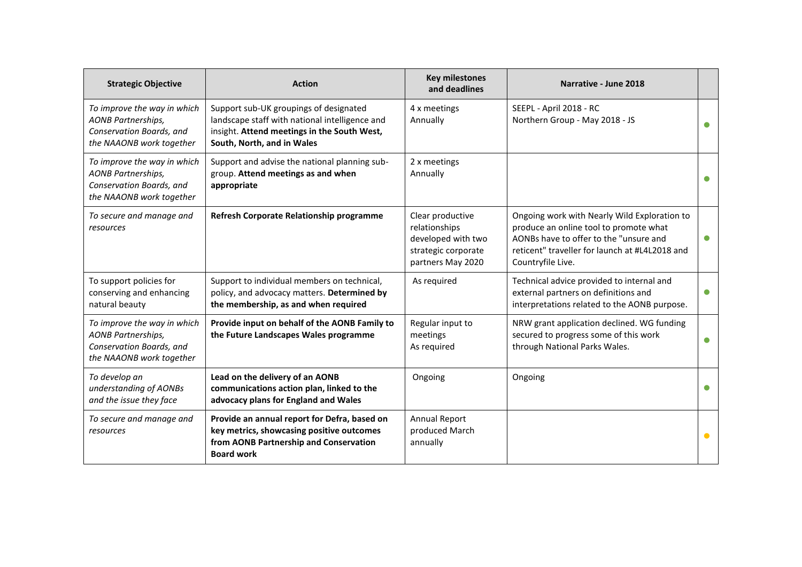| <b>Strategic Objective</b>                                                                                       | <b>Action</b>                                                                                                                                                         | <b>Key milestones</b><br>and deadlines                                                              | Narrative - June 2018                                                                                                                                                                                   |           |
|------------------------------------------------------------------------------------------------------------------|-----------------------------------------------------------------------------------------------------------------------------------------------------------------------|-----------------------------------------------------------------------------------------------------|---------------------------------------------------------------------------------------------------------------------------------------------------------------------------------------------------------|-----------|
| To improve the way in which<br>AONB Partnerships,<br>Conservation Boards, and<br>the NAAONB work together        | Support sub-UK groupings of designated<br>landscape staff with national intelligence and<br>insight. Attend meetings in the South West,<br>South, North, and in Wales | 4 x meetings<br>Annually                                                                            | SEEPL - April 2018 - RC<br>Northern Group - May 2018 - JS                                                                                                                                               |           |
| To improve the way in which<br>AONB Partnerships,<br>Conservation Boards, and<br>the NAAONB work together        | Support and advise the national planning sub-<br>group. Attend meetings as and when<br>appropriate                                                                    | 2 x meetings<br>Annually                                                                            |                                                                                                                                                                                                         |           |
| To secure and manage and<br>resources                                                                            | Refresh Corporate Relationship programme                                                                                                                              | Clear productive<br>relationships<br>developed with two<br>strategic corporate<br>partners May 2020 | Ongoing work with Nearly Wild Exploration to<br>produce an online tool to promote what<br>AONBs have to offer to the "unsure and<br>reticent" traveller for launch at #L4L2018 and<br>Countryfile Live. | $\bullet$ |
| To support policies for<br>conserving and enhancing<br>natural beauty                                            | Support to individual members on technical,<br>policy, and advocacy matters. Determined by<br>the membership, as and when required                                    | As required                                                                                         | Technical advice provided to internal and<br>external partners on definitions and<br>interpretations related to the AONB purpose.                                                                       | $\bullet$ |
| To improve the way in which<br><b>AONB Partnerships,</b><br>Conservation Boards, and<br>the NAAONB work together | Provide input on behalf of the AONB Family to<br>the Future Landscapes Wales programme                                                                                | Regular input to<br>meetings<br>As required                                                         | NRW grant application declined. WG funding<br>secured to progress some of this work<br>through National Parks Wales.                                                                                    | $\bullet$ |
| To develop an<br>understanding of AONBs<br>and the issue they face                                               | Lead on the delivery of an AONB<br>communications action plan, linked to the<br>advocacy plans for England and Wales                                                  | Ongoing                                                                                             | Ongoing                                                                                                                                                                                                 |           |
| To secure and manage and<br>resources                                                                            | Provide an annual report for Defra, based on<br>key metrics, showcasing positive outcomes<br>from AONB Partnership and Conservation<br><b>Board work</b>              | <b>Annual Report</b><br>produced March<br>annually                                                  |                                                                                                                                                                                                         | $\bullet$ |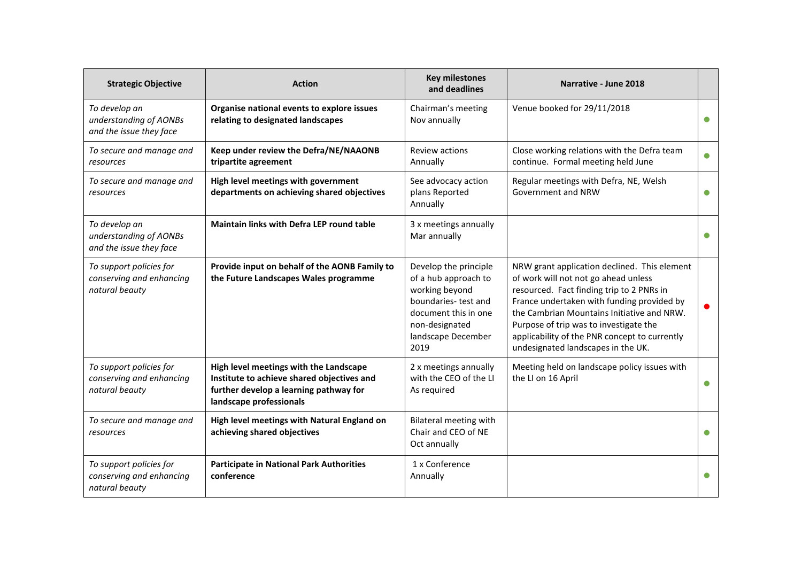| <b>Strategic Objective</b>                                            | <b>Action</b>                                                                                                                                             | <b>Key milestones</b><br>and deadlines                                                                                                                         | Narrative - June 2018                                                                                                                                                                                                                                                                                                                                          |           |
|-----------------------------------------------------------------------|-----------------------------------------------------------------------------------------------------------------------------------------------------------|----------------------------------------------------------------------------------------------------------------------------------------------------------------|----------------------------------------------------------------------------------------------------------------------------------------------------------------------------------------------------------------------------------------------------------------------------------------------------------------------------------------------------------------|-----------|
| To develop an<br>understanding of AONBs<br>and the issue they face    | Organise national events to explore issues<br>relating to designated landscapes                                                                           | Chairman's meeting<br>Nov annually                                                                                                                             | Venue booked for 29/11/2018                                                                                                                                                                                                                                                                                                                                    |           |
| To secure and manage and<br>resources                                 | Keep under review the Defra/NE/NAAONB<br>tripartite agreement                                                                                             | Review actions<br>Annually                                                                                                                                     | Close working relations with the Defra team<br>continue. Formal meeting held June                                                                                                                                                                                                                                                                              |           |
| To secure and manage and<br>resources                                 | High level meetings with government<br>departments on achieving shared objectives                                                                         | See advocacy action<br>plans Reported<br>Annually                                                                                                              | Regular meetings with Defra, NE, Welsh<br>Government and NRW                                                                                                                                                                                                                                                                                                   |           |
| To develop an<br>understanding of AONBs<br>and the issue they face    | Maintain links with Defra LEP round table                                                                                                                 | 3 x meetings annually<br>Mar annually                                                                                                                          |                                                                                                                                                                                                                                                                                                                                                                |           |
| To support policies for<br>conserving and enhancing<br>natural beauty | Provide input on behalf of the AONB Family to<br>the Future Landscapes Wales programme                                                                    | Develop the principle<br>of a hub approach to<br>working beyond<br>boundaries-test and<br>document this in one<br>non-designated<br>landscape December<br>2019 | NRW grant application declined. This element<br>of work will not not go ahead unless<br>resourced. Fact finding trip to 2 PNRs in<br>France undertaken with funding provided by<br>the Cambrian Mountains Initiative and NRW.<br>Purpose of trip was to investigate the<br>applicability of the PNR concept to currently<br>undesignated landscapes in the UK. |           |
| To support policies for<br>conserving and enhancing<br>natural beauty | High level meetings with the Landscape<br>Institute to achieve shared objectives and<br>further develop a learning pathway for<br>landscape professionals | 2 x meetings annually<br>with the CEO of the LI<br>As required                                                                                                 | Meeting held on landscape policy issues with<br>the LI on 16 April                                                                                                                                                                                                                                                                                             | $\bullet$ |
| To secure and manage and<br>resources                                 | High level meetings with Natural England on<br>achieving shared objectives                                                                                | Bilateral meeting with<br>Chair and CEO of NE<br>Oct annually                                                                                                  |                                                                                                                                                                                                                                                                                                                                                                |           |
| To support policies for<br>conserving and enhancing<br>natural beauty | <b>Participate in National Park Authorities</b><br>conference                                                                                             | 1 x Conference<br>Annually                                                                                                                                     |                                                                                                                                                                                                                                                                                                                                                                |           |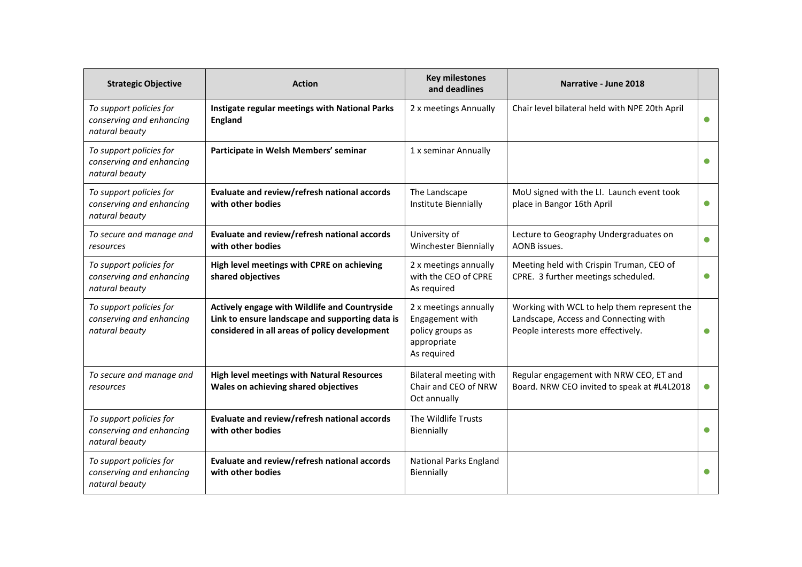| <b>Strategic Objective</b>                                            | <b>Action</b>                                                                                                                                     | <b>Key milestones</b><br>and deadlines                                                     | Narrative - June 2018                                                                                                      |           |
|-----------------------------------------------------------------------|---------------------------------------------------------------------------------------------------------------------------------------------------|--------------------------------------------------------------------------------------------|----------------------------------------------------------------------------------------------------------------------------|-----------|
| To support policies for<br>conserving and enhancing<br>natural beauty | Instigate regular meetings with National Parks<br><b>England</b>                                                                                  | 2 x meetings Annually                                                                      | Chair level bilateral held with NPE 20th April                                                                             | $\bullet$ |
| To support policies for<br>conserving and enhancing<br>natural beauty | Participate in Welsh Members' seminar                                                                                                             | 1 x seminar Annually                                                                       |                                                                                                                            | ●         |
| To support policies for<br>conserving and enhancing<br>natural beauty | Evaluate and review/refresh national accords<br>with other bodies                                                                                 | The Landscape<br>Institute Biennially                                                      | MoU signed with the LI. Launch event took<br>place in Bangor 16th April                                                    | $\bullet$ |
| To secure and manage and<br>resources                                 | Evaluate and review/refresh national accords<br>with other bodies                                                                                 | University of<br>Winchester Biennially                                                     | Lecture to Geography Undergraduates on<br>AONB issues.                                                                     | $\bullet$ |
| To support policies for<br>conserving and enhancing<br>natural beauty | High level meetings with CPRE on achieving<br>shared objectives                                                                                   | 2 x meetings annually<br>with the CEO of CPRE<br>As required                               | Meeting held with Crispin Truman, CEO of<br>CPRE. 3 further meetings scheduled.                                            | $\bullet$ |
| To support policies for<br>conserving and enhancing<br>natural beauty | Actively engage with Wildlife and Countryside<br>Link to ensure landscape and supporting data is<br>considered in all areas of policy development | 2 x meetings annually<br>Engagement with<br>policy groups as<br>appropriate<br>As required | Working with WCL to help them represent the<br>Landscape, Access and Connecting with<br>People interests more effectively. | O         |
| To secure and manage and<br>resources                                 | <b>High level meetings with Natural Resources</b><br>Wales on achieving shared objectives                                                         | Bilateral meeting with<br>Chair and CEO of NRW<br>Oct annually                             | Regular engagement with NRW CEO, ET and<br>Board. NRW CEO invited to speak at #L4L2018                                     | $\bullet$ |
| To support policies for<br>conserving and enhancing<br>natural beauty | Evaluate and review/refresh national accords<br>with other bodies                                                                                 | The Wildlife Trusts<br>Biennially                                                          |                                                                                                                            | $\bullet$ |
| To support policies for<br>conserving and enhancing<br>natural beauty | Evaluate and review/refresh national accords<br>with other bodies                                                                                 | <b>National Parks England</b><br>Biennially                                                |                                                                                                                            | ●         |